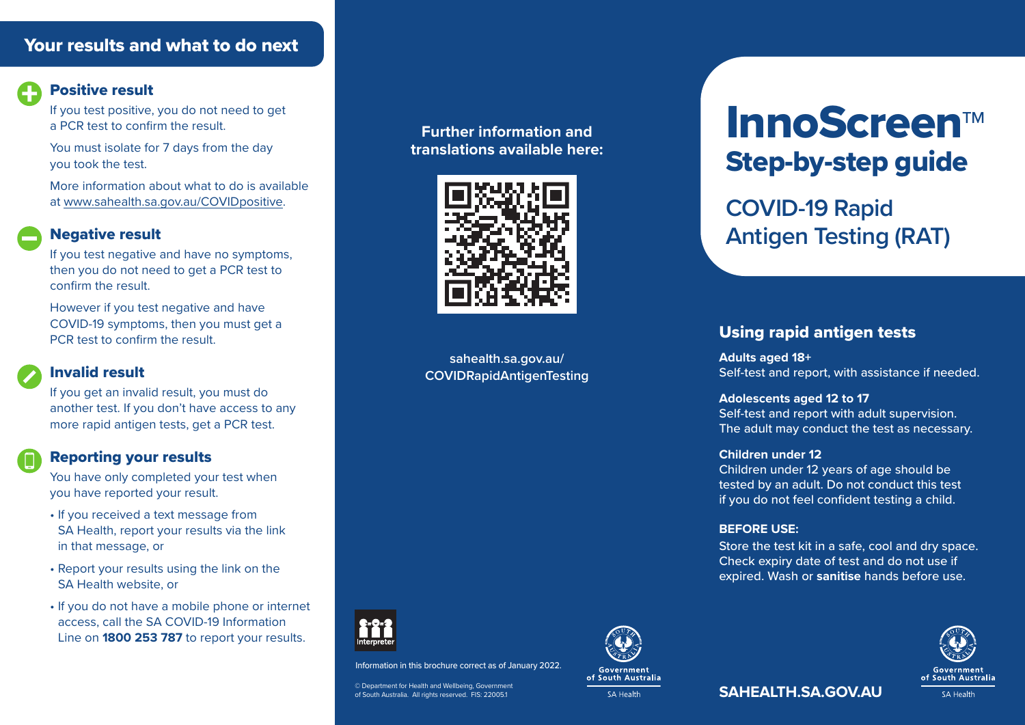## Your results and what to do next



#### Positive result

If you test positive, you do not need to get a PCR test to confirm the result.

You must isolate for 7 days from the day you took the test.

More information about what to do is available at www.sahealth.sa.gov.au/COVIDpositive.

#### Negative result

If you test negative and have no symptoms, then you do not need to get a PCR test to confirm the result.

However if you test negative and have COVID-19 symptoms, then you must get a PCR test to confirm the result.

## Invalid result

If you get an invalid result, you must do another test. If you don't have access to any more rapid antigen tests, get a PCR test.

#### Reporting your results

You have only completed your test when you have reported your result.

- If you received a text message from SA Health, report your results via the link in that message, or
- Report your results using the link on the SA Health website, or
- If you do not have a mobile phone or internet access, call the SA COVID-19 Information Line on **1800 253 787** to report your results.

#### **Further information and translations available here:**



**sahealth.sa.gov.au/ COVIDRapidAntigenTesting**



Information in this brochure correct as of January 2022.

© Department for Health and Wellbeing, Government of South Australia. All rights reserved. FIS: 22005.1



# InnoScreen™ Step-by-step guide

**COVID-19 Rapid Antigen Testing (RAT)**

## Using rapid antigen tests

**Adults aged 18+**  Self-test and report, with assistance if needed.

**Adolescents aged 12 to 17**  Self-test and report with adult supervision. The adult may conduct the test as necessary.

#### **Children under 12**

Children under 12 years of age should be tested by an adult. Do not conduct this test if you do not feel confident testing a child.

#### **BEFORE USE:**

Store the test kit in a safe, cool and dry space. Check expiry date of test and do not use if expired. Wash or **sanitise** hands before use.



**SAHEALTH.SA.GOV.AU**